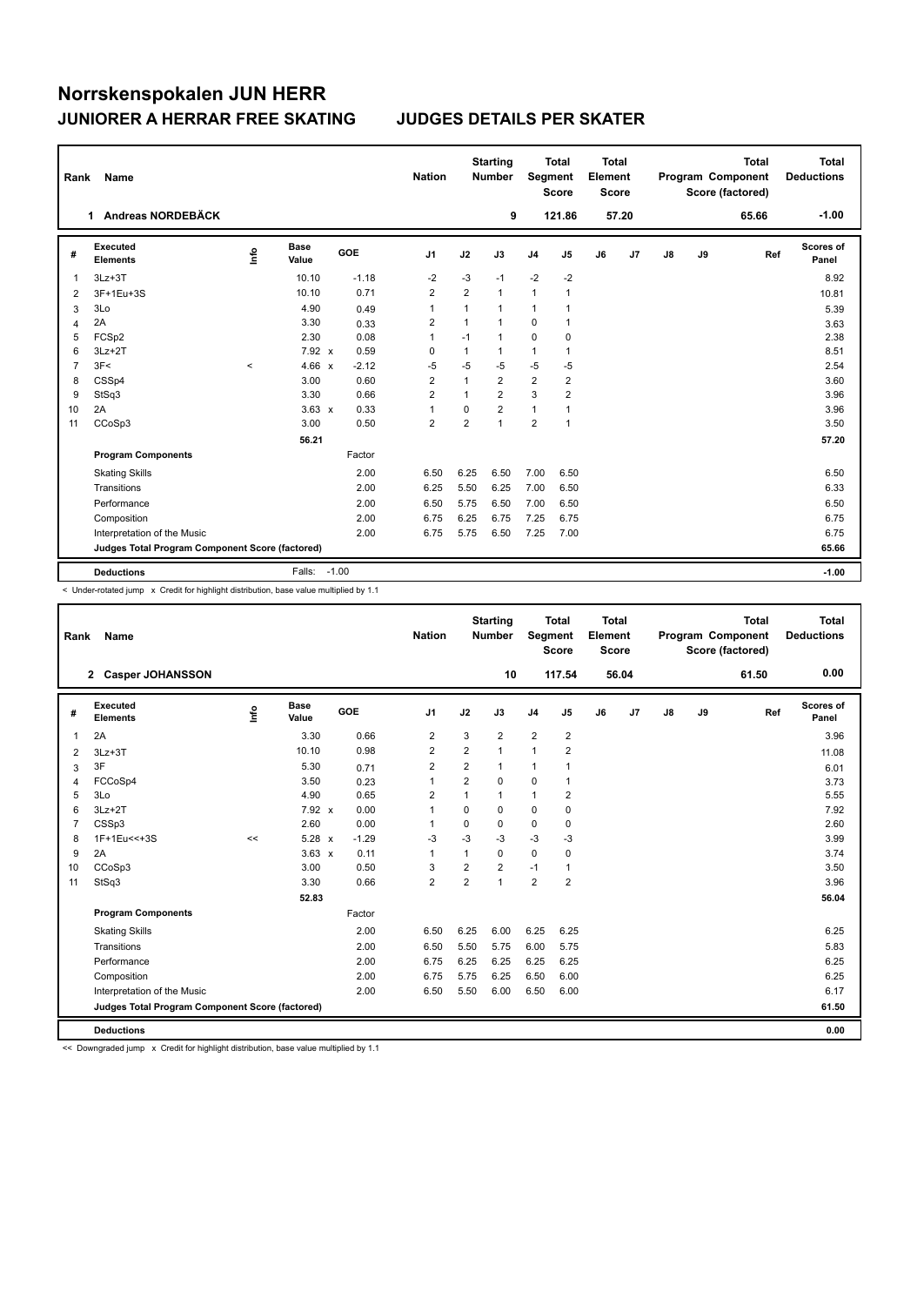| Rank           | Name                                            |         |                      |            | <b>Nation</b>           |                | <b>Starting</b><br><b>Number</b> | Segment        | <b>Total</b><br><b>Score</b> | <b>Total</b><br>Element<br><b>Score</b> |       |    |    | <b>Total</b><br>Program Component<br>Score (factored) | <b>Total</b><br><b>Deductions</b> |
|----------------|-------------------------------------------------|---------|----------------------|------------|-------------------------|----------------|----------------------------------|----------------|------------------------------|-----------------------------------------|-------|----|----|-------------------------------------------------------|-----------------------------------|
|                | 1 Andreas NORDEBÄCK                             |         |                      |            |                         |                | 9                                |                | 121.86                       |                                         | 57.20 |    |    | 65.66                                                 | $-1.00$                           |
| #              | Executed<br><b>Elements</b>                     | ۴٥      | <b>Base</b><br>Value | <b>GOE</b> | J <sub>1</sub>          | J2             | J3                               | J <sub>4</sub> | J <sub>5</sub>               | J6                                      | J7    | J8 | J9 | Ref                                                   | Scores of<br>Panel                |
| -1             | $3Lz + 3T$                                      |         | 10.10                | $-1.18$    | $-2$                    | $-3$           | $-1$                             | $-2$           | $-2$                         |                                         |       |    |    |                                                       | 8.92                              |
| $\overline{2}$ | 3F+1Eu+3S                                       |         | 10.10                | 0.71       | $\overline{\mathbf{c}}$ | $\overline{2}$ | $\mathbf{1}$                     | 1              | 1                            |                                         |       |    |    |                                                       | 10.81                             |
| 3              | 3Lo                                             |         | 4.90                 | 0.49       | 1                       | $\mathbf 1$    | $\mathbf{1}$                     | 1              | 1                            |                                         |       |    |    |                                                       | 5.39                              |
| 4              | 2A                                              |         | 3.30                 | 0.33       | $\overline{2}$          | $\mathbf{1}$   | $\mathbf{1}$                     | 0              | 1                            |                                         |       |    |    |                                                       | 3.63                              |
| 5              | FCSp2                                           |         | 2.30                 | 0.08       | 1                       | $-1$           | $\mathbf{1}$                     | 0              | 0                            |                                         |       |    |    |                                                       | 2.38                              |
| 6              | $3Lz + 2T$                                      |         | 7.92 x               | 0.59       | 0                       | 1              | 1                                | 1              | 1                            |                                         |       |    |    |                                                       | 8.51                              |
| 7              | 3F<                                             | $\prec$ | 4.66 $x$             | $-2.12$    | $-5$                    | $-5$           | $-5$                             | $-5$           | -5                           |                                         |       |    |    |                                                       | 2.54                              |
| 8              | CSSp4                                           |         | 3.00                 | 0.60       | $\overline{2}$          | 1              | $\overline{2}$                   | $\overline{2}$ | $\overline{2}$               |                                         |       |    |    |                                                       | 3.60                              |
| 9              | StSq3                                           |         | 3.30                 | 0.66       | $\overline{2}$          | $\overline{1}$ | $\overline{2}$                   | 3              | $\overline{2}$               |                                         |       |    |    |                                                       | 3.96                              |
| 10             | 2A                                              |         | $3.63 \times$        | 0.33       | 1                       | 0              | $\overline{2}$                   | $\mathbf{1}$   | 1                            |                                         |       |    |    |                                                       | 3.96                              |
| 11             | CCoSp3                                          |         | 3.00                 | 0.50       | $\overline{2}$          | $\overline{2}$ | $\mathbf{1}$                     | $\overline{2}$ | 1                            |                                         |       |    |    |                                                       | 3.50                              |
|                |                                                 |         | 56.21                |            |                         |                |                                  |                |                              |                                         |       |    |    |                                                       | 57.20                             |
|                | <b>Program Components</b>                       |         |                      | Factor     |                         |                |                                  |                |                              |                                         |       |    |    |                                                       |                                   |
|                | <b>Skating Skills</b>                           |         |                      | 2.00       | 6.50                    | 6.25           | 6.50                             | 7.00           | 6.50                         |                                         |       |    |    |                                                       | 6.50                              |
|                | Transitions                                     |         |                      | 2.00       | 6.25                    | 5.50           | 6.25                             | 7.00           | 6.50                         |                                         |       |    |    |                                                       | 6.33                              |
|                | Performance                                     |         |                      | 2.00       | 6.50                    | 5.75           | 6.50                             | 7.00           | 6.50                         |                                         |       |    |    |                                                       | 6.50                              |
|                | Composition                                     |         |                      | 2.00       | 6.75                    | 6.25           | 6.75                             | 7.25           | 6.75                         |                                         |       |    |    |                                                       | 6.75                              |
|                | Interpretation of the Music                     |         |                      | 2.00       | 6.75                    | 5.75           | 6.50                             | 7.25           | 7.00                         |                                         |       |    |    |                                                       | 6.75                              |
|                | Judges Total Program Component Score (factored) |         |                      |            |                         |                |                                  |                |                              |                                         |       |    |    |                                                       | 65.66                             |
|                | <b>Deductions</b>                               |         | Falls:               | $-1.00$    |                         |                |                                  |                |                              |                                         |       |    |    |                                                       | $-1.00$                           |

< Under-rotated jump x Credit for highlight distribution, base value multiplied by 1.1

| Rank           | Name                                            |       |                      |         | <b>Nation</b>  |                         | <b>Starting</b><br><b>Number</b> | Segment        | <b>Total</b><br><b>Score</b> | Total<br>Element<br><b>Score</b> |       |               |    | <b>Total</b><br>Program Component<br>Score (factored) | <b>Total</b><br><b>Deductions</b> |
|----------------|-------------------------------------------------|-------|----------------------|---------|----------------|-------------------------|----------------------------------|----------------|------------------------------|----------------------------------|-------|---------------|----|-------------------------------------------------------|-----------------------------------|
|                | 2 Casper JOHANSSON                              |       |                      |         |                |                         | 10                               |                | 117.54                       |                                  | 56.04 |               |    | 61.50                                                 | 0.00                              |
| #              | Executed<br><b>Elements</b>                     | info  | <b>Base</b><br>Value | GOE     | J <sub>1</sub> | J2                      | J3                               | J <sub>4</sub> | J5                           | J6                               | J7    | $\mathsf{J}8$ | J9 | Ref                                                   | Scores of<br>Panel                |
| 1              | 2A                                              |       | 3.30                 | 0.66    | $\overline{2}$ | 3                       | $\overline{2}$                   | $\overline{2}$ | $\overline{2}$               |                                  |       |               |    |                                                       | 3.96                              |
| 2              | $3Lz + 3T$                                      |       | 10.10                | 0.98    | 2              | $\overline{\mathbf{c}}$ | 1                                | $\mathbf{1}$   | $\overline{2}$               |                                  |       |               |    |                                                       | 11.08                             |
| 3              | 3F                                              |       | 5.30                 | 0.71    | $\overline{2}$ | $\overline{2}$          | 1                                | $\mathbf{1}$   | 1                            |                                  |       |               |    |                                                       | 6.01                              |
| 4              | FCCoSp4                                         |       | 3.50                 | 0.23    | 1              | 2                       | 0                                | 0              | 1                            |                                  |       |               |    |                                                       | 3.73                              |
| 5              | 3Lo                                             |       | 4.90                 | 0.65    | $\overline{2}$ | 1                       | 1                                | $\mathbf{1}$   | 2                            |                                  |       |               |    |                                                       | 5.55                              |
| 6              | $3Lz + 2T$                                      |       | $7.92 \times$        | 0.00    | 1              | 0                       | 0                                | 0              | 0                            |                                  |       |               |    |                                                       | 7.92                              |
| $\overline{7}$ | CSSp3                                           |       | 2.60                 | 0.00    | 1              | 0                       | 0                                | 0              | 0                            |                                  |       |               |    |                                                       | 2.60                              |
| 8              | 1F+1Eu<<+3S                                     | $\,<$ | 5.28 x               | $-1.29$ | $-3$           | $-3$                    | $-3$                             | $-3$           | $-3$                         |                                  |       |               |    |                                                       | 3.99                              |
| 9              | 2A                                              |       | $3.63 \times$        | 0.11    | 1              | 1                       | 0                                | 0              | 0                            |                                  |       |               |    |                                                       | 3.74                              |
| 10             | CCoSp3                                          |       | 3.00                 | 0.50    | 3              | $\overline{2}$          | $\overline{2}$                   | $-1$           | 1                            |                                  |       |               |    |                                                       | 3.50                              |
| 11             | StSq3                                           |       | 3.30                 | 0.66    | $\overline{2}$ | $\overline{2}$          | 1                                | $\overline{2}$ | $\overline{2}$               |                                  |       |               |    |                                                       | 3.96                              |
|                |                                                 |       | 52.83                |         |                |                         |                                  |                |                              |                                  |       |               |    |                                                       | 56.04                             |
|                | <b>Program Components</b>                       |       |                      | Factor  |                |                         |                                  |                |                              |                                  |       |               |    |                                                       |                                   |
|                | <b>Skating Skills</b>                           |       |                      | 2.00    | 6.50           | 6.25                    | 6.00                             | 6.25           | 6.25                         |                                  |       |               |    |                                                       | 6.25                              |
|                | Transitions                                     |       |                      | 2.00    | 6.50           | 5.50                    | 5.75                             | 6.00           | 5.75                         |                                  |       |               |    |                                                       | 5.83                              |
|                | Performance                                     |       |                      | 2.00    | 6.75           | 6.25                    | 6.25                             | 6.25           | 6.25                         |                                  |       |               |    |                                                       | 6.25                              |
|                | Composition                                     |       |                      | 2.00    | 6.75           | 5.75                    | 6.25                             | 6.50           | 6.00                         |                                  |       |               |    |                                                       | 6.25                              |
|                | Interpretation of the Music                     |       |                      | 2.00    | 6.50           | 5.50                    | 6.00                             | 6.50           | 6.00                         |                                  |       |               |    |                                                       | 6.17                              |
|                | Judges Total Program Component Score (factored) |       |                      |         |                |                         |                                  |                |                              |                                  |       |               |    |                                                       | 61.50                             |
|                | <b>Deductions</b>                               |       |                      |         |                |                         |                                  |                |                              |                                  |       |               |    |                                                       | 0.00                              |

<< Downgraded jump x Credit for highlight distribution, base value multiplied by 1.1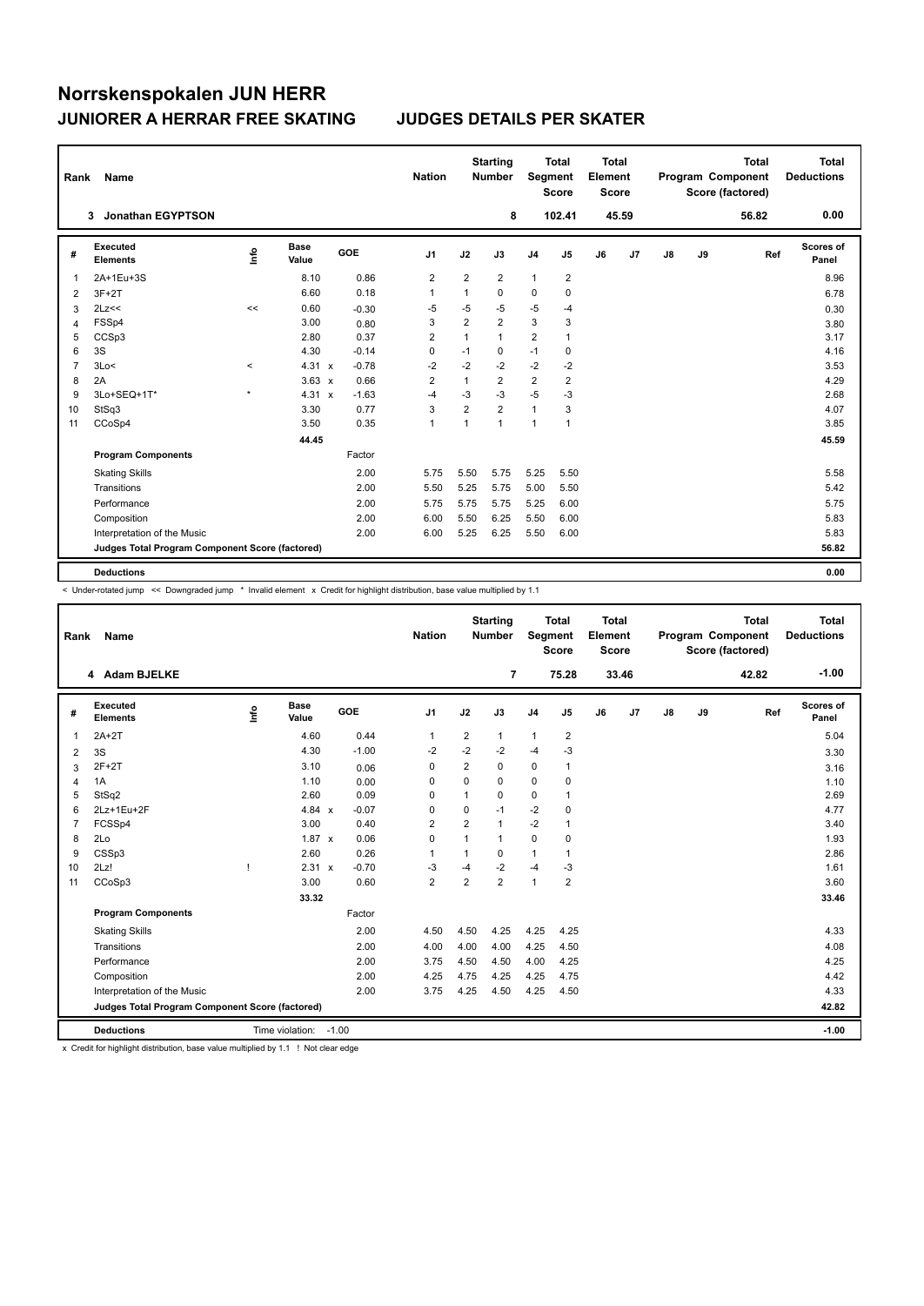| Rank           | Name                                            |          |                      |         | <b>Nation</b>  |                | <b>Starting</b><br><b>Number</b> | <b>Segment</b> | <b>Total</b><br><b>Score</b> | Total<br>Element<br><b>Score</b> |       |               |    | <b>Total</b><br>Program Component<br>Score (factored) | <b>Total</b><br><b>Deductions</b> |
|----------------|-------------------------------------------------|----------|----------------------|---------|----------------|----------------|----------------------------------|----------------|------------------------------|----------------------------------|-------|---------------|----|-------------------------------------------------------|-----------------------------------|
|                | Jonathan EGYPTSON<br>3                          |          |                      |         |                |                | 8                                |                | 102.41                       |                                  | 45.59 |               |    | 56.82                                                 | 0.00                              |
| #              | Executed<br><b>Elements</b>                     | ١nfo     | <b>Base</b><br>Value | GOE     | J1             | J2             | J3                               | J <sub>4</sub> | J5                           | J6                               | J7    | $\mathsf{J}8$ | J9 | Ref                                                   | Scores of<br>Panel                |
| 1              | 2A+1Eu+3S                                       |          | 8.10                 | 0.86    | 2              | $\overline{2}$ | $\overline{2}$                   | $\mathbf{1}$   | 2                            |                                  |       |               |    |                                                       | 8.96                              |
| 2              | $3F+2T$                                         |          | 6.60                 | 0.18    | $\mathbf{1}$   | $\mathbf{1}$   | 0                                | 0              | $\mathbf 0$                  |                                  |       |               |    |                                                       | 6.78                              |
| 3              | 2Lz<<                                           | <<       | 0.60                 | $-0.30$ | -5             | $-5$           | $-5$                             | $-5$           | $-4$                         |                                  |       |               |    |                                                       | 0.30                              |
| 4              | FSSp4                                           |          | 3.00                 | 0.80    | 3              | $\overline{2}$ | $\overline{2}$                   | 3              | 3                            |                                  |       |               |    |                                                       | 3.80                              |
| 5              | CCSp3                                           |          | 2.80                 | 0.37    | $\overline{2}$ | 1              | 1                                | $\overline{2}$ | $\mathbf{1}$                 |                                  |       |               |    |                                                       | 3.17                              |
| 6              | 3S                                              |          | 4.30                 | $-0.14$ | 0              | $-1$           | 0                                | $-1$           | 0                            |                                  |       |               |    |                                                       | 4.16                              |
| $\overline{7}$ | 3Lo<                                            | $\hat{}$ | $4.31 \times$        | $-0.78$ | $-2$           | $-2$           | $-2$                             | $-2$           | $-2$                         |                                  |       |               |    |                                                       | 3.53                              |
| 8              | 2A                                              |          | $3.63 \times$        | 0.66    | $\overline{2}$ | $\mathbf{1}$   | $\overline{2}$                   | $\overline{2}$ | $\overline{\mathbf{c}}$      |                                  |       |               |    |                                                       | 4.29                              |
| 9              | 3Lo+SEQ+1T*                                     | $\star$  | $4.31 \times$        | $-1.63$ | $-4$           | $-3$           | $-3$                             | $-5$           | -3                           |                                  |       |               |    |                                                       | 2.68                              |
| 10             | StSq3                                           |          | 3.30                 | 0.77    | 3              | $\overline{2}$ | $\overline{2}$                   | $\mathbf{1}$   | 3                            |                                  |       |               |    |                                                       | 4.07                              |
| 11             | CCoSp4                                          |          | 3.50                 | 0.35    | $\mathbf{1}$   | $\mathbf{1}$   | 1                                | $\mathbf{1}$   | $\mathbf{1}$                 |                                  |       |               |    |                                                       | 3.85                              |
|                |                                                 |          | 44.45                |         |                |                |                                  |                |                              |                                  |       |               |    |                                                       | 45.59                             |
|                | <b>Program Components</b>                       |          |                      | Factor  |                |                |                                  |                |                              |                                  |       |               |    |                                                       |                                   |
|                | <b>Skating Skills</b>                           |          |                      | 2.00    | 5.75           | 5.50           | 5.75                             | 5.25           | 5.50                         |                                  |       |               |    |                                                       | 5.58                              |
|                | Transitions                                     |          |                      | 2.00    | 5.50           | 5.25           | 5.75                             | 5.00           | 5.50                         |                                  |       |               |    |                                                       | 5.42                              |
|                | Performance                                     |          |                      | 2.00    | 5.75           | 5.75           | 5.75                             | 5.25           | 6.00                         |                                  |       |               |    |                                                       | 5.75                              |
|                | Composition                                     |          |                      | 2.00    | 6.00           | 5.50           | 6.25                             | 5.50           | 6.00                         |                                  |       |               |    |                                                       | 5.83                              |
|                | Interpretation of the Music                     |          |                      | 2.00    | 6.00           | 5.25           | 6.25                             | 5.50           | 6.00                         |                                  |       |               |    |                                                       | 5.83                              |
|                | Judges Total Program Component Score (factored) |          |                      |         |                |                |                                  |                |                              |                                  |       |               |    |                                                       | 56.82                             |
|                | <b>Deductions</b>                               |          |                      |         |                |                |                                  |                |                              |                                  |       |               |    |                                                       | 0.00                              |

-<br>< Under-rotated jump << Downgraded jump \* Invalid element x Credit for highlight distribution, base value multiplied by 1.1

| Rank           | <b>Name</b>                                     |      |                      |         |         | <b>Nation</b>  |                | <b>Starting</b><br><b>Number</b> | Segment        | <b>Total</b><br><b>Score</b> | <b>Total</b><br>Element<br><b>Score</b> |                |    |    | <b>Total</b><br>Program Component<br>Score (factored) | Total<br><b>Deductions</b> |
|----------------|-------------------------------------------------|------|----------------------|---------|---------|----------------|----------------|----------------------------------|----------------|------------------------------|-----------------------------------------|----------------|----|----|-------------------------------------------------------|----------------------------|
|                | 4 Adam BJELKE                                   |      |                      |         |         |                |                | 7                                |                | 75.28                        |                                         | 33.46          |    |    | 42.82                                                 | $-1.00$                    |
| #              | Executed<br><b>Elements</b>                     | ١rfo | <b>Base</b><br>Value |         | GOE     | J <sub>1</sub> | J2             | J3                               | J <sub>4</sub> | J <sub>5</sub>               | J6                                      | J <sub>7</sub> | J8 | J9 | Ref                                                   | Scores of<br>Panel         |
| $\mathbf{1}$   | $2A+2T$                                         |      | 4.60                 |         | 0.44    | $\mathbf{1}$   | $\overline{2}$ | $\mathbf{1}$                     | $\mathbf{1}$   | $\overline{2}$               |                                         |                |    |    |                                                       | 5.04                       |
| 2              | 3S                                              |      | 4.30                 |         | $-1.00$ | $-2$           | $-2$           | $-2$                             | $-4$           | -3                           |                                         |                |    |    |                                                       | 3.30                       |
| 3              | $2F+2T$                                         |      | 3.10                 |         | 0.06    | $\mathbf 0$    | $\overline{2}$ | $\Omega$                         | $\mathbf 0$    | $\mathbf{1}$                 |                                         |                |    |    |                                                       | 3.16                       |
| $\overline{4}$ | 1A                                              |      | 1.10                 |         | 0.00    | $\mathbf 0$    | $\Omega$       | $\Omega$                         | $\Omega$       | 0                            |                                         |                |    |    |                                                       | 1.10                       |
| 5              | StSq2                                           |      | 2.60                 |         | 0.09    | 0              | 1              | 0                                | $\mathbf 0$    | 1                            |                                         |                |    |    |                                                       | 2.69                       |
| 6              | 2Lz+1Eu+2F                                      |      | 4.84 $x$             |         | $-0.07$ | 0              | 0              | $-1$                             | $-2$           | 0                            |                                         |                |    |    |                                                       | 4.77                       |
| $\overline{7}$ | FCSSp4                                          |      | 3.00                 |         | 0.40    | $\overline{2}$ | $\overline{2}$ | 1                                | $-2$           | $\mathbf{1}$                 |                                         |                |    |    |                                                       | 3.40                       |
| 8              | 2Lo                                             |      | $1.87 \times$        |         | 0.06    | $\mathbf 0$    | 1              | 1                                | $\mathbf 0$    | 0                            |                                         |                |    |    |                                                       | 1.93                       |
| 9              | CSSp3                                           |      | 2.60                 |         | 0.26    | 1              | 1              | 0                                | $\mathbf{1}$   | $\mathbf{1}$                 |                                         |                |    |    |                                                       | 2.86                       |
| 10             | 2Lz!                                            | ı    | 2.31 x               |         | $-0.70$ | -3             | $-4$           | $-2$                             | $-4$           | $-3$                         |                                         |                |    |    |                                                       | 1.61                       |
| 11             | CCoSp3                                          |      | 3.00                 |         | 0.60    | $\overline{2}$ | $\overline{2}$ | $\overline{2}$                   | $\overline{1}$ | $\overline{2}$               |                                         |                |    |    |                                                       | 3.60                       |
|                |                                                 |      | 33.32                |         |         |                |                |                                  |                |                              |                                         |                |    |    |                                                       | 33.46                      |
|                | <b>Program Components</b>                       |      |                      |         | Factor  |                |                |                                  |                |                              |                                         |                |    |    |                                                       |                            |
|                | <b>Skating Skills</b>                           |      |                      |         | 2.00    | 4.50           | 4.50           | 4.25                             | 4.25           | 4.25                         |                                         |                |    |    |                                                       | 4.33                       |
|                | Transitions                                     |      |                      |         | 2.00    | 4.00           | 4.00           | 4.00                             | 4.25           | 4.50                         |                                         |                |    |    |                                                       | 4.08                       |
|                | Performance                                     |      |                      |         | 2.00    | 3.75           | 4.50           | 4.50                             | 4.00           | 4.25                         |                                         |                |    |    |                                                       | 4.25                       |
|                | Composition                                     |      |                      |         | 2.00    | 4.25           | 4.75           | 4.25                             | 4.25           | 4.75                         |                                         |                |    |    |                                                       | 4.42                       |
|                | Interpretation of the Music                     |      |                      |         | 2.00    | 3.75           | 4.25           | 4.50                             | 4.25           | 4.50                         |                                         |                |    |    |                                                       | 4.33                       |
|                | Judges Total Program Component Score (factored) |      |                      |         |         |                |                |                                  |                |                              |                                         |                |    |    |                                                       | 42.82                      |
|                | <b>Deductions</b>                               |      | Time violation:      | $-1.00$ |         |                |                |                                  |                |                              |                                         |                |    |    |                                                       | $-1.00$                    |

x Credit for highlight distribution, base value multiplied by 1.1 ! Not clear edge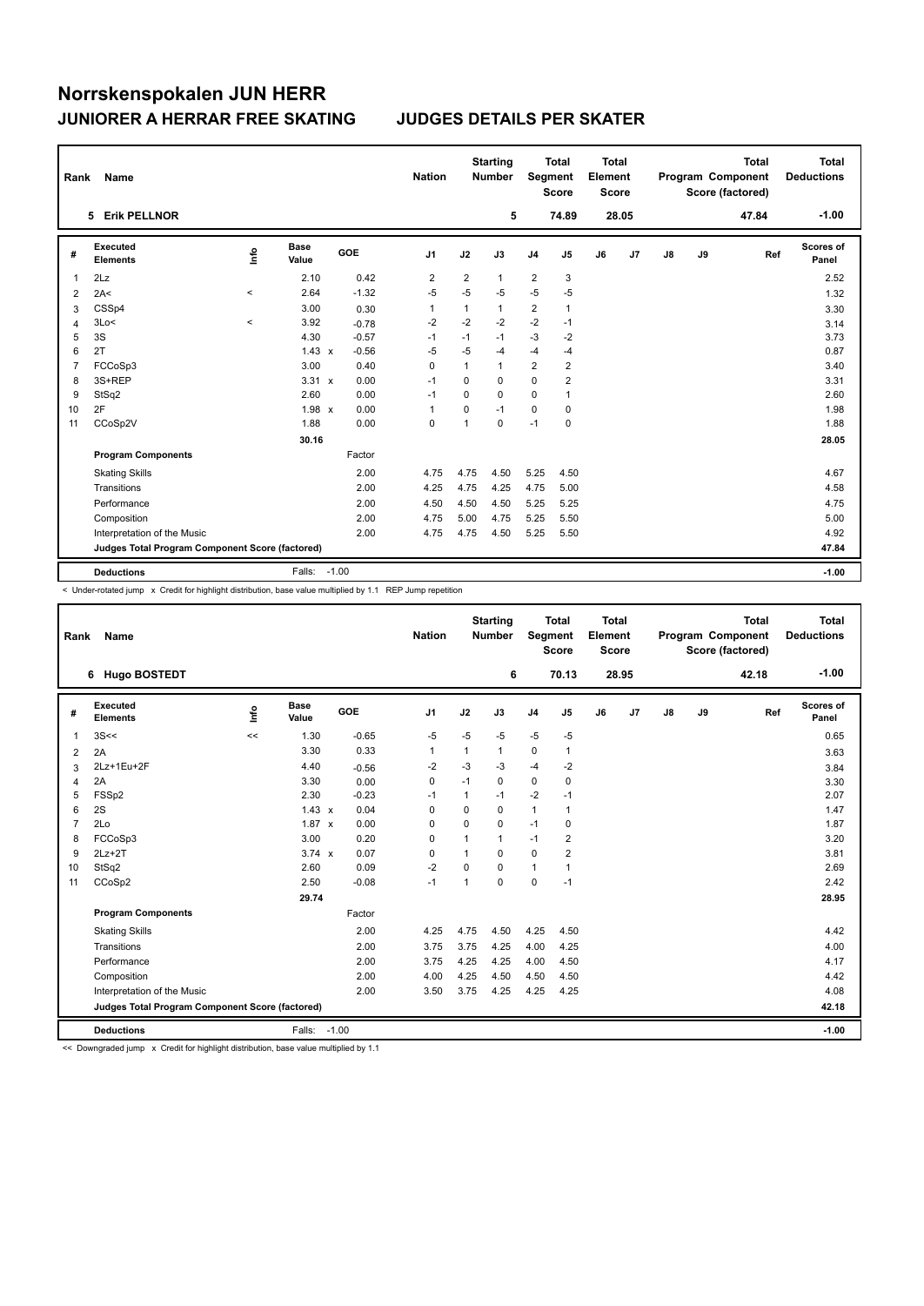| Rank           | Name                                            |          |                      |            | <b>Nation</b>  |                | <b>Starting</b><br><b>Number</b> | Segment        | <b>Total</b><br><b>Score</b> | <b>Total</b><br>Element<br><b>Score</b> |       |    |    | <b>Total</b><br>Program Component<br>Score (factored) | <b>Total</b><br><b>Deductions</b> |
|----------------|-------------------------------------------------|----------|----------------------|------------|----------------|----------------|----------------------------------|----------------|------------------------------|-----------------------------------------|-------|----|----|-------------------------------------------------------|-----------------------------------|
|                | 5 Erik PELLNOR                                  |          |                      |            |                |                | 5                                |                | 74.89                        |                                         | 28.05 |    |    | 47.84                                                 | $-1.00$                           |
| #              | Executed<br><b>Elements</b>                     | ۴٥       | <b>Base</b><br>Value | <b>GOE</b> | J1             | J2             | J3                               | J <sub>4</sub> | J5                           | J6                                      | J7    | J8 | J9 | Ref                                                   | <b>Scores of</b><br>Panel         |
| 1              | 2Lz                                             |          | 2.10                 | 0.42       | $\overline{2}$ | $\overline{2}$ | $\mathbf{1}$                     | $\overline{2}$ | 3                            |                                         |       |    |    |                                                       | 2.52                              |
| 2              | 2A<                                             | $\hat{}$ | 2.64                 | $-1.32$    | $-5$           | $-5$           | $-5$                             | $-5$           | $-5$                         |                                         |       |    |    |                                                       | 1.32                              |
| 3              | CSSp4                                           |          | 3.00                 | 0.30       | $\mathbf{1}$   | 1              | 1                                | $\overline{2}$ | $\mathbf{1}$                 |                                         |       |    |    |                                                       | 3.30                              |
| $\overline{4}$ | 3Lo<                                            | $\,<\,$  | 3.92                 | $-0.78$    | $-2$           | $-2$           | $-2$                             | $-2$           | $-1$                         |                                         |       |    |    |                                                       | 3.14                              |
| 5              | 3S                                              |          | 4.30                 | $-0.57$    | $-1$           | $-1$           | $-1$                             | $-3$           | $-2$                         |                                         |       |    |    |                                                       | 3.73                              |
| 6              | 2T                                              |          | $1.43 \times$        | $-0.56$    | $-5$           | $-5$           | $-4$                             | $-4$           | -4                           |                                         |       |    |    |                                                       | 0.87                              |
| 7              | FCCoSp3                                         |          | 3.00                 | 0.40       | 0              | 1              | $\mathbf{1}$                     | $\overline{2}$ | $\overline{2}$               |                                         |       |    |    |                                                       | 3.40                              |
| 8              | 3S+REP                                          |          | $3.31 \times$        | 0.00       | $-1$           | $\mathbf 0$    | 0                                | $\mathbf 0$    | 2                            |                                         |       |    |    |                                                       | 3.31                              |
| 9              | StSq2                                           |          | 2.60                 | 0.00       | $-1$           | 0              | 0                                | 0              | 1                            |                                         |       |    |    |                                                       | 2.60                              |
| 10             | 2F                                              |          | $1.98 \times$        | 0.00       | $\overline{1}$ | 0              | $-1$                             | 0              | 0                            |                                         |       |    |    |                                                       | 1.98                              |
| 11             | CCoSp2V                                         |          | 1.88                 | 0.00       | 0              | 1              | 0                                | $-1$           | $\mathbf 0$                  |                                         |       |    |    |                                                       | 1.88                              |
|                |                                                 |          | 30.16                |            |                |                |                                  |                |                              |                                         |       |    |    |                                                       | 28.05                             |
|                | <b>Program Components</b>                       |          |                      | Factor     |                |                |                                  |                |                              |                                         |       |    |    |                                                       |                                   |
|                | <b>Skating Skills</b>                           |          |                      | 2.00       | 4.75           | 4.75           | 4.50                             | 5.25           | 4.50                         |                                         |       |    |    |                                                       | 4.67                              |
|                | Transitions                                     |          |                      | 2.00       | 4.25           | 4.75           | 4.25                             | 4.75           | 5.00                         |                                         |       |    |    |                                                       | 4.58                              |
|                | Performance                                     |          |                      | 2.00       | 4.50           | 4.50           | 4.50                             | 5.25           | 5.25                         |                                         |       |    |    |                                                       | 4.75                              |
|                | Composition                                     |          |                      | 2.00       | 4.75           | 5.00           | 4.75                             | 5.25           | 5.50                         |                                         |       |    |    |                                                       | 5.00                              |
|                | Interpretation of the Music                     |          |                      | 2.00       | 4.75           | 4.75           | 4.50                             | 5.25           | 5.50                         |                                         |       |    |    |                                                       | 4.92                              |
|                | Judges Total Program Component Score (factored) |          |                      |            |                |                |                                  |                |                              |                                         |       |    |    |                                                       | 47.84                             |
|                | <b>Deductions</b>                               |          | Falls:               | $-1.00$    |                |                |                                  |                |                              |                                         |       |    |    |                                                       | $-1.00$                           |

< Under-rotated jump x Credit for highlight distribution, base value multiplied by 1.1 REP Jump repetition

| Rank           | Name                                            |      |                      |         | <b>Nation</b>  |              | <b>Starting</b><br><b>Number</b> | Segment        | <b>Total</b><br><b>Score</b> | <b>Total</b><br>Element<br><b>Score</b> |       |               |    | <b>Total</b><br>Program Component<br>Score (factored) | <b>Total</b><br><b>Deductions</b> |
|----------------|-------------------------------------------------|------|----------------------|---------|----------------|--------------|----------------------------------|----------------|------------------------------|-----------------------------------------|-------|---------------|----|-------------------------------------------------------|-----------------------------------|
|                | <b>Hugo BOSTEDT</b><br>6                        |      |                      |         |                |              | 6                                |                | 70.13                        |                                         | 28.95 |               |    | 42.18                                                 | $-1.00$                           |
| #              | Executed<br><b>Elements</b>                     | Info | <b>Base</b><br>Value | GOE     | J <sub>1</sub> | J2           | J3                               | J <sub>4</sub> | J5                           | J6                                      | J7    | $\mathsf{J}8$ | J9 | Ref                                                   | Scores of<br>Panel                |
| $\overline{1}$ | 3S<<                                            | <<   | 1.30                 | $-0.65$ | $-5$           | $-5$         | $-5$                             | $-5$           | $-5$                         |                                         |       |               |    |                                                       | 0.65                              |
| 2              | 2A                                              |      | 3.30                 | 0.33    | $\mathbf{1}$   | 1            | 1                                | $\pmb{0}$      | 1                            |                                         |       |               |    |                                                       | 3.63                              |
| 3              | 2Lz+1Eu+2F                                      |      | 4.40                 | $-0.56$ | $-2$           | $-3$         | -3                               | $-4$           | $-2$                         |                                         |       |               |    |                                                       | 3.84                              |
| 4              | 2A                                              |      | 3.30                 | 0.00    | 0              | $-1$         | 0                                | 0              | 0                            |                                         |       |               |    |                                                       | 3.30                              |
| 5              | FSSp2                                           |      | 2.30                 | $-0.23$ | $-1$           | $\mathbf{1}$ | $-1$                             | $-2$           | $-1$                         |                                         |       |               |    |                                                       | 2.07                              |
| 6              | 2S                                              |      | $1.43 \times$        | 0.04    | 0              | 0            | 0                                | $\mathbf{1}$   | 1                            |                                         |       |               |    |                                                       | 1.47                              |
| $\overline{7}$ | 2Lo                                             |      | $1.87 \times$        | 0.00    | 0              | 0            | 0                                | $-1$           | 0                            |                                         |       |               |    |                                                       | 1.87                              |
| 8              | FCCoSp3                                         |      | 3.00                 | 0.20    | $\mathbf 0$    | 1            | 1                                | $-1$           | 2                            |                                         |       |               |    |                                                       | 3.20                              |
| 9              | $2Lz+2T$                                        |      | $3.74 \times$        | 0.07    | $\mathbf 0$    | 1            | $\Omega$                         | $\mathbf 0$    | 2                            |                                         |       |               |    |                                                       | 3.81                              |
| 10             | StSq2                                           |      | 2.60                 | 0.09    | $-2$           | 0            | 0                                | $\mathbf{1}$   | 1                            |                                         |       |               |    |                                                       | 2.69                              |
| 11             | CCoSp2                                          |      | 2.50                 | $-0.08$ | $-1$           | 1            | 0                                | $\pmb{0}$      | $-1$                         |                                         |       |               |    |                                                       | 2.42                              |
|                |                                                 |      | 29.74                |         |                |              |                                  |                |                              |                                         |       |               |    |                                                       | 28.95                             |
|                | <b>Program Components</b>                       |      |                      | Factor  |                |              |                                  |                |                              |                                         |       |               |    |                                                       |                                   |
|                | <b>Skating Skills</b>                           |      |                      | 2.00    | 4.25           | 4.75         | 4.50                             | 4.25           | 4.50                         |                                         |       |               |    |                                                       | 4.42                              |
|                | Transitions                                     |      |                      | 2.00    | 3.75           | 3.75         | 4.25                             | 4.00           | 4.25                         |                                         |       |               |    |                                                       | 4.00                              |
|                | Performance                                     |      |                      | 2.00    | 3.75           | 4.25         | 4.25                             | 4.00           | 4.50                         |                                         |       |               |    |                                                       | 4.17                              |
|                | Composition                                     |      |                      | 2.00    | 4.00           | 4.25         | 4.50                             | 4.50           | 4.50                         |                                         |       |               |    |                                                       | 4.42                              |
|                | Interpretation of the Music                     |      |                      | 2.00    | 3.50           | 3.75         | 4.25                             | 4.25           | 4.25                         |                                         |       |               |    |                                                       | 4.08                              |
|                | Judges Total Program Component Score (factored) |      |                      |         |                |              |                                  |                |                              |                                         |       |               |    |                                                       | 42.18                             |
|                | <b>Deductions</b>                               |      | Falls: -1.00         |         |                |              |                                  |                |                              |                                         |       |               |    |                                                       | $-1.00$                           |

<< Downgraded jump x Credit for highlight distribution, base value multiplied by 1.1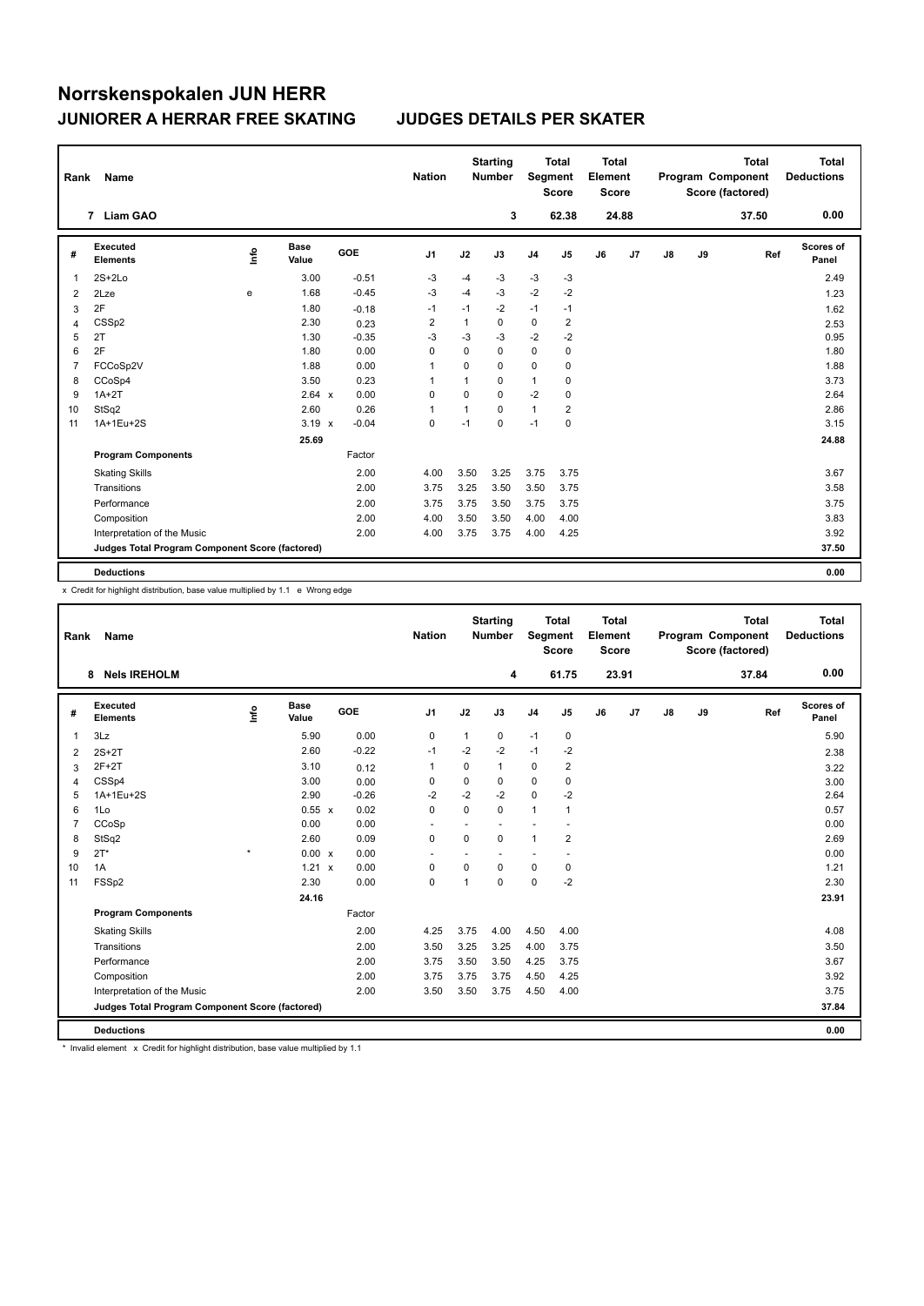| Rank           | Name                                            |      |                      |         | <b>Nation</b>  |      | <b>Starting</b><br><b>Number</b> | Segment        | <b>Total</b><br><b>Score</b> | <b>Total</b><br>Element<br><b>Score</b> |       |               |    | <b>Total</b><br>Program Component<br>Score (factored) | Total<br><b>Deductions</b> |
|----------------|-------------------------------------------------|------|----------------------|---------|----------------|------|----------------------------------|----------------|------------------------------|-----------------------------------------|-------|---------------|----|-------------------------------------------------------|----------------------------|
|                | 7 Liam GAO                                      |      |                      |         |                |      | 3                                |                | 62.38                        |                                         | 24.88 |               |    | 37.50                                                 | 0.00                       |
| #              | Executed<br><b>Elements</b>                     | lnfo | <b>Base</b><br>Value | GOE     | J <sub>1</sub> | J2   | J3                               | J <sub>4</sub> | J <sub>5</sub>               | J6                                      | J7    | $\mathsf{J}8$ | J9 | Ref                                                   | <b>Scores of</b><br>Panel  |
|                | $2S+2Lo$                                        |      | 3.00                 | $-0.51$ | $-3$           | $-4$ | $-3$                             | $-3$           | $-3$                         |                                         |       |               |    |                                                       | 2.49                       |
| 2              | 2Lze                                            | e    | 1.68                 | $-0.45$ | $-3$           | $-4$ | -3                               | $-2$           | $-2$                         |                                         |       |               |    |                                                       | 1.23                       |
| 3              | 2F                                              |      | 1.80                 | $-0.18$ | $-1$           | $-1$ | -2                               | $-1$           | $-1$                         |                                         |       |               |    |                                                       | 1.62                       |
| $\overline{4}$ | CSSp2                                           |      | 2.30                 | 0.23    | $\overline{2}$ | 1    | 0                                | $\mathbf 0$    | $\overline{\mathbf{c}}$      |                                         |       |               |    |                                                       | 2.53                       |
| 5              | 2T                                              |      | 1.30                 | $-0.35$ | $-3$           | $-3$ | $-3$                             | $-2$           | $-2$                         |                                         |       |               |    |                                                       | 0.95                       |
| 6              | 2F                                              |      | 1.80                 | 0.00    | 0              | 0    | $\Omega$                         | 0              | 0                            |                                         |       |               |    |                                                       | 1.80                       |
| 7              | FCCoSp2V                                        |      | 1.88                 | 0.00    | 1              | 0    | 0                                | 0              | $\pmb{0}$                    |                                         |       |               |    |                                                       | 1.88                       |
| 8              | CCoSp4                                          |      | 3.50                 | 0.23    | 1              | 1    | $\mathbf 0$                      | 1              | 0                            |                                         |       |               |    |                                                       | 3.73                       |
| 9              | $1A+2T$                                         |      | $2.64 \times$        | 0.00    | 0              | 0    | $\Omega$                         | $-2$           | $\mathbf 0$                  |                                         |       |               |    |                                                       | 2.64                       |
| 10             | StSq2                                           |      | 2.60                 | 0.26    | 1              | 1    | $\Omega$                         | 1              | 2                            |                                         |       |               |    |                                                       | 2.86                       |
| 11             | 1A+1Eu+2S                                       |      | $3.19 \times$        | $-0.04$ | 0              | $-1$ | $\Omega$                         | $-1$           | $\mathbf 0$                  |                                         |       |               |    |                                                       | 3.15                       |
|                |                                                 |      | 25.69                |         |                |      |                                  |                |                              |                                         |       |               |    |                                                       | 24.88                      |
|                | <b>Program Components</b>                       |      |                      | Factor  |                |      |                                  |                |                              |                                         |       |               |    |                                                       |                            |
|                | <b>Skating Skills</b>                           |      |                      | 2.00    | 4.00           | 3.50 | 3.25                             | 3.75           | 3.75                         |                                         |       |               |    |                                                       | 3.67                       |
|                | Transitions                                     |      |                      | 2.00    | 3.75           | 3.25 | 3.50                             | 3.50           | 3.75                         |                                         |       |               |    |                                                       | 3.58                       |
|                | Performance                                     |      |                      | 2.00    | 3.75           | 3.75 | 3.50                             | 3.75           | 3.75                         |                                         |       |               |    |                                                       | 3.75                       |
|                | Composition                                     |      |                      | 2.00    | 4.00           | 3.50 | 3.50                             | 4.00           | 4.00                         |                                         |       |               |    |                                                       | 3.83                       |
|                | Interpretation of the Music                     |      |                      | 2.00    | 4.00           | 3.75 | 3.75                             | 4.00           | 4.25                         |                                         |       |               |    |                                                       | 3.92                       |
|                | Judges Total Program Component Score (factored) |      |                      |         |                |      |                                  |                |                              |                                         |       |               |    |                                                       | 37.50                      |
|                | <b>Deductions</b>                               |      |                      |         |                |      |                                  |                |                              |                                         |       |               |    |                                                       | 0.00                       |

x Credit for highlight distribution, base value multiplied by 1.1 e Wrong edge

| Rank           | Name                                            |         |                      |            | <b>Nation</b>            |                | <b>Starting</b><br><b>Number</b> | Segment        | <b>Total</b><br><b>Score</b> | <b>Total</b><br>Element<br><b>Score</b> |       |               |    | <b>Total</b><br>Program Component<br>Score (factored) | <b>Total</b><br><b>Deductions</b> |
|----------------|-------------------------------------------------|---------|----------------------|------------|--------------------------|----------------|----------------------------------|----------------|------------------------------|-----------------------------------------|-------|---------------|----|-------------------------------------------------------|-----------------------------------|
|                | <b>Nels IREHOLM</b><br>8                        |         |                      |            |                          |                | 4                                |                | 61.75                        |                                         | 23.91 |               |    | 37.84                                                 | 0.00                              |
| #              | Executed<br><b>Elements</b>                     | Info    | <b>Base</b><br>Value | <b>GOE</b> | J <sub>1</sub>           | J2             | J3                               | J <sub>4</sub> | J5                           | J6                                      | J7    | $\mathsf{J}8$ | J9 | Ref                                                   | Scores of<br>Panel                |
| 1              | 3Lz                                             |         | 5.90                 | 0.00       | 0                        | $\mathbf{1}$   | 0                                | $-1$           | 0                            |                                         |       |               |    |                                                       | 5.90                              |
| 2              | $2S+2T$                                         |         | 2.60                 | $-0.22$    | $-1$                     | $-2$           | $-2$                             | $-1$           | $-2$                         |                                         |       |               |    |                                                       | 2.38                              |
| 3              | $2F+2T$                                         |         | 3.10                 | 0.12       | 1                        | 0              | 1                                | 0              | 2                            |                                         |       |               |    |                                                       | 3.22                              |
| 4              | CSSp4                                           |         | 3.00                 | 0.00       | 0                        | $\mathbf 0$    | 0                                | $\mathbf 0$    | $\mathbf 0$                  |                                         |       |               |    |                                                       | 3.00                              |
| 5              | 1A+1Eu+2S                                       |         | 2.90                 | $-0.26$    | $-2$                     | $-2$           | $-2$                             | $\mathbf 0$    | $-2$                         |                                         |       |               |    |                                                       | 2.64                              |
| 6              | 1Lo                                             |         | 0.55 x               | 0.02       | $\Omega$                 | $\Omega$       | $\Omega$                         | $\mathbf{1}$   | 1                            |                                         |       |               |    |                                                       | 0.57                              |
| $\overline{7}$ | CCoSp                                           |         | 0.00                 | 0.00       |                          |                |                                  |                |                              |                                         |       |               |    |                                                       | 0.00                              |
| 8              | StSq2                                           |         | 2.60                 | 0.09       | $\mathbf 0$              | $\Omega$       | $\Omega$                         | $\mathbf{1}$   | 2                            |                                         |       |               |    |                                                       | 2.69                              |
| 9              | $2T^*$                                          | $\star$ | 0.00 x               | 0.00       | $\overline{\phantom{a}}$ |                |                                  |                |                              |                                         |       |               |    |                                                       | 0.00                              |
| 10             | 1A                                              |         | $1.21 \times$        | 0.00       | 0                        | 0              | 0                                | 0              | 0                            |                                         |       |               |    |                                                       | 1.21                              |
| 11             | FSSp2                                           |         | 2.30                 | 0.00       | 0                        | $\overline{1}$ | 0                                | $\pmb{0}$      | $-2$                         |                                         |       |               |    |                                                       | 2.30                              |
|                |                                                 |         | 24.16                |            |                          |                |                                  |                |                              |                                         |       |               |    |                                                       | 23.91                             |
|                | <b>Program Components</b>                       |         |                      | Factor     |                          |                |                                  |                |                              |                                         |       |               |    |                                                       |                                   |
|                | <b>Skating Skills</b>                           |         |                      | 2.00       | 4.25                     | 3.75           | 4.00                             | 4.50           | 4.00                         |                                         |       |               |    |                                                       | 4.08                              |
|                | Transitions                                     |         |                      | 2.00       | 3.50                     | 3.25           | 3.25                             | 4.00           | 3.75                         |                                         |       |               |    |                                                       | 3.50                              |
|                | Performance                                     |         |                      | 2.00       | 3.75                     | 3.50           | 3.50                             | 4.25           | 3.75                         |                                         |       |               |    |                                                       | 3.67                              |
|                | Composition                                     |         |                      | 2.00       | 3.75                     | 3.75           | 3.75                             | 4.50           | 4.25                         |                                         |       |               |    |                                                       | 3.92                              |
|                | Interpretation of the Music                     |         |                      | 2.00       | 3.50                     | 3.50           | 3.75                             | 4.50           | 4.00                         |                                         |       |               |    |                                                       | 3.75                              |
|                | Judges Total Program Component Score (factored) |         |                      |            |                          |                |                                  |                |                              |                                         |       |               |    |                                                       | 37.84                             |
|                | <b>Deductions</b>                               |         |                      |            |                          |                |                                  |                |                              |                                         |       |               |    |                                                       | 0.00                              |

\* Invalid element x Credit for highlight distribution, base value multiplied by 1.1